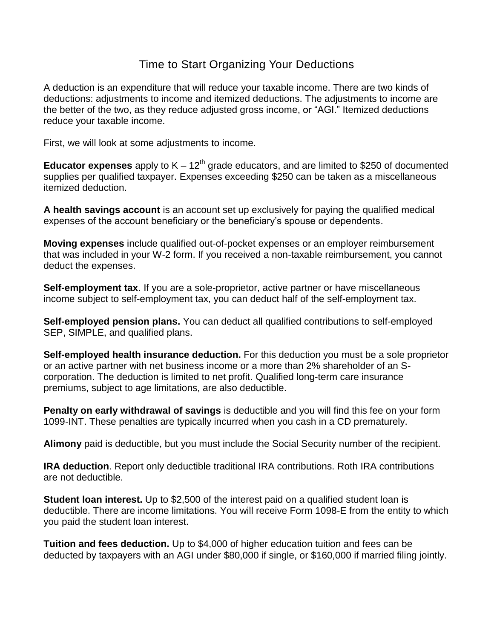## Time to Start Organizing Your Deductions

A deduction is an expenditure that will reduce your taxable income. There are two kinds of deductions: adjustments to income and itemized deductions. The adjustments to income are the better of the two, as they reduce adjusted gross income, or "AGI." Itemized deductions reduce your taxable income.

First, we will look at some adjustments to income.

**Educator expenses** apply to  $K - 12<sup>th</sup>$  grade educators, and are limited to \$250 of documented supplies per qualified taxpayer. Expenses exceeding \$250 can be taken as a miscellaneous itemized deduction.

**A health savings account** is an account set up exclusively for paying the qualified medical expenses of the account beneficiary or the beneficiary's spouse or dependents.

**Moving expenses** include qualified out-of-pocket expenses or an employer reimbursement that was included in your W-2 form. If you received a non-taxable reimbursement, you cannot deduct the expenses.

**Self-employment tax**. If you are a sole-proprietor, active partner or have miscellaneous income subject to self-employment tax, you can deduct half of the self-employment tax.

**Self-employed pension plans.** You can deduct all qualified contributions to self-employed SEP, SIMPLE, and qualified plans.

**Self-employed health insurance deduction.** For this deduction you must be a sole proprietor or an active partner with net business income or a more than 2% shareholder of an Scorporation. The deduction is limited to net profit. Qualified long-term care insurance premiums, subject to age limitations, are also deductible.

**Penalty on early withdrawal of savings** is deductible and you will find this fee on your form 1099-INT. These penalties are typically incurred when you cash in a CD prematurely.

**Alimony** paid is deductible, but you must include the Social Security number of the recipient.

**IRA deduction**. Report only deductible traditional IRA contributions. Roth IRA contributions are not deductible.

**Student loan interest.** Up to \$2,500 of the interest paid on a qualified student loan is deductible. There are income limitations. You will receive Form 1098-E from the entity to which you paid the student loan interest.

**Tuition and fees deduction.** Up to \$4,000 of higher education tuition and fees can be deducted by taxpayers with an AGI under \$80,000 if single, or \$160,000 if married filing jointly.